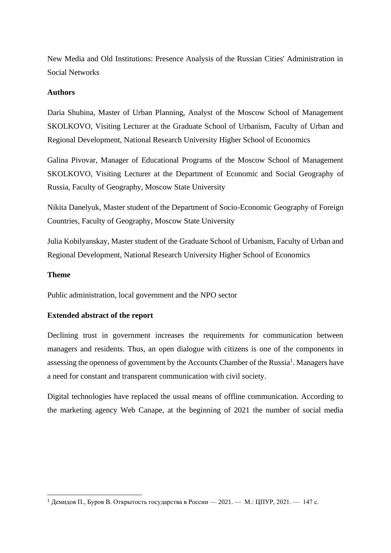New Media and Old Institutions: Presence Analysis of the Russian Cities' Administration in Social Networks

## **Authors**

Daria Shubina, Master of Urban Planning, Analyst of the Moscow School of Management SKOLKOVO, Visiting Lecturer at the Graduate School of Urbanism, Faculty of Urban and Regional Development, National Research University Higher School of Economics

Galina Pivovar, Manager of Educational Programs of the Moscow School of Management SKOLKOVO, Visiting Lecturer at the Department of Economic and Social Geography of Russia, Faculty of Geography, Moscow State University

Nikita Danelyuk, Master student of the Department of Socio-Economic Geography of Foreign Countries, Faculty of Geography, Moscow State University

Julia Kobilyanskay, Master student of the Graduate School of Urbanism, Faculty of Urban and Regional Development, National Research University Higher School of Economics

## **Theme**

Public administration, local government and the NPO sector

## **Extended abstract of the report**

Declining trust in government increases the requirements for communication between managers and residents. Thus, an open dialogue with citizens is one of the components in assessing the openness of government by the Accounts Chamber of the Russia<sup>1</sup>. Managers have a need for constant and transparent communication with civil society.

Digital technologies have replaced the usual means of offline communication. According to the marketing agency Web Canape, at the beginning of 2021 the number of social media

<sup>&</sup>lt;sup>1</sup> Демидов П., Буров В. Открытость государства в России — 2021. — М.: ЦПУР, 2021. — 147 с.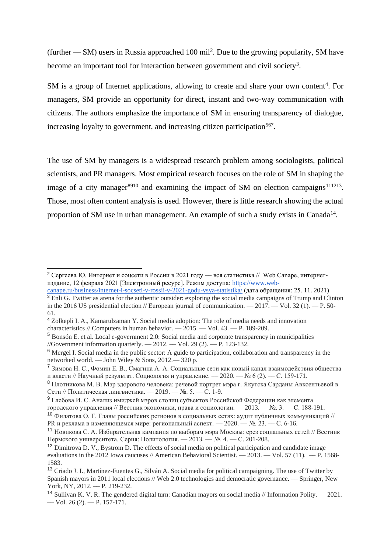(further  $-$  SM) users in Russia approached 100 mil<sup>2</sup>. Due to the growing popularity, SM have become an important tool for interaction between government and civil society<sup>3</sup>.

SM is a group of Internet applications, allowing to create and share your own content<sup>4</sup>. For managers, SM provide an opportunity for direct, instant and two-way communication with citizens. The authors emphasize the importance of SM in ensuring transparency of dialogue, increasing loyalty to government, and increasing citizen participation<sup>567</sup>.

The use of SM by managers is a widespread research problem among sociologists, political scientists, and PR managers. Most empirical research focuses on the role of SM in shaping the image of a city manager $8910$  and examining the impact of SM on election campaigns<sup>111213</sup>. Those, most often content analysis is used. However, there is little research showing the actual proportion of SM use in urban management. An example of such a study exists in Canada<sup>14</sup>.

<sup>&</sup>lt;sup>2</sup> Сергеева Ю. Интернет и соцсети в России в 2021 году — вся статистика // Web Canape, интернетиздание, 12 февраля 2021 [Электронный ресурс]. Режим доступа[: https://www.web](https://www.web-canape.ru/business/internet-i-socseti-v-rossii-v-2021-godu-vsya-statistika/)[canape.ru/business/internet-i-socseti-v-rossii-v-2021-godu-vsya-statistika/](https://www.web-canape.ru/business/internet-i-socseti-v-rossii-v-2021-godu-vsya-statistika/) (дата обращения: 25. 11. 2021)

<sup>&</sup>lt;sup>3</sup> Enli G. Twitter as arena for the authentic outsider: exploring the social media campaigns of Trump and Clinton in the 2016 US presidential election // European journal of communication.  $-2017$ .  $-$  Vol. 32 (1).  $-$  P. 50-61.

<sup>4</sup> Zolkepli I. A., Kamarulzaman Y. Social media adoption: The role of media needs and innovation characteristics // Computers in human behavior. –– 2015. –– Vol. 43. –– P. 189-209.

<sup>5</sup> Bonsón E. et al. Local e-government 2.0: Social media and corporate transparency in municipalities //Government information quarterly. –– 2012. –– Vol. 29 (2). –– P. 123-132.

<sup>6</sup> Mergel I. Social media in the public sector: A guide to participation, collaboration and transparency in the networked world. –– John Wiley & Sons, 2012.–– 320 p.

<sup>7</sup> Зимова Н. С., Фомин Е. В., Смагина А. А. Социальные сети как новый канал взаимодействия общества и власти // Научный результат. Социология и управление. — 2020. — № 6 (2). — С. 159-171.

<sup>8</sup> Плотникова М. В. Мэр здорового человека: речевой портрет мэра г. Якутска Сарданы Авксентьевой в Сети // Политическая лингвистика. — 2019. — №. 5. — С. 1-9.

<sup>9</sup> Глебова И. С. Анализ имиджей мэров столиц субъектов Российской Федерации как элемента

городского управления // Вестник экономики, права и социологии. –– 2013. –– №. 3. –– С. 188-191.

<sup>10</sup> Филатова О. Г. Главы российских регионов в социальных сетях: аудит публичных коммуникаций // РК и реклама в изменяющемся мире: региональный аспект. — 2020. — №. 23. — С. 6-16.

<sup>11</sup> Новикова С. А. Избирательная кампания по выборам мэра Москвы: срез социальных сетей // Вестник Пермского университета. Серия: Политология. –– 2013. –– №. 4. –– С. 201-208.

<sup>&</sup>lt;sup>12</sup> Dimitrova D. V., Bystrom D. The effects of social media on political participation and candidate image evaluations in the 2012 Iowa caucuses // American Behavioral Scientist. — 2013. — Vol. 57 (11). — P. 1568-1583.

<sup>13</sup> Criado J. I., Martínez-Fuentes G., Silván A. Social media for political campaigning. The use of Twitter by Spanish mayors in 2011 local elections // Web 2.0 technologies and democratic governance. — Springer, New York, NY, 2012. -- P. 219-232.

<sup>&</sup>lt;sup>14</sup> Sullivan K. V. R. The gendered digital turn: Canadian mayors on social media // Information Polity.  $-2021$ . –– Vol. 26 (2). –– P. 157-171.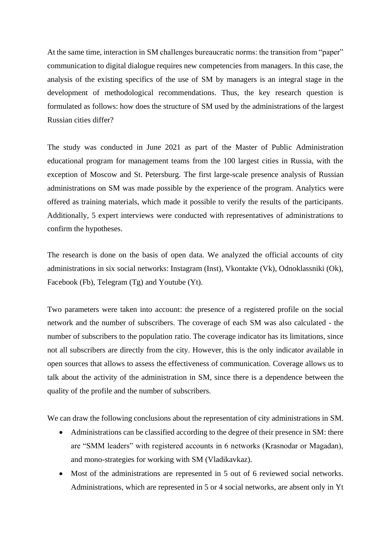At the same time, interaction in SM challenges bureaucratic norms: the transition from "paper" communication to digital dialogue requires new competencies from managers. In this case, the analysis of the existing specifics of the use of SM by managers is an integral stage in the development of methodological recommendations. Thus, the key research question is formulated as follows: how does the structure of SM used by the administrations of the largest Russian cities differ?

The study was conducted in June 2021 as part of the Master of Public Administration educational program for management teams from the 100 largest cities in Russia, with the exception of Moscow and St. Petersburg. The first large-scale presence analysis of Russian administrations on SM was made possible by the experience of the program. Analytics were offered as training materials, which made it possible to verify the results of the participants. Additionally, 5 expert interviews were conducted with representatives of administrations to confirm the hypotheses.

The research is done on the basis of open data. We analyzed the official accounts of city administrations in six social networks: Instagram (Inst), Vkontakte (Vk), Odnoklassniki (Ok), Facebook (Fb), Telegram (Tg) and Youtube (Yt).

Two parameters were taken into account: the presence of a registered profile on the social network and the number of subscribers. The coverage of each SM was also calculated - the number of subscribers to the population ratio. The coverage indicator has its limitations, since not all subscribers are directly from the city. However, this is the only indicator available in open sources that allows to assess the effectiveness of communication. Coverage allows us to talk about the activity of the administration in SM, since there is a dependence between the quality of the profile and the number of subscribers.

We can draw the following conclusions about the representation of city administrations in SM.

- Administrations can be classified according to the degree of their presence in SM: there are "SMM leaders" with registered accounts in 6 networks (Krasnodar or Magadan), and mono-strategies for working with SM (Vladikavkaz).
- Most of the administrations are represented in 5 out of 6 reviewed social networks. Administrations, which are represented in 5 or 4 social networks, are absent only in Yt